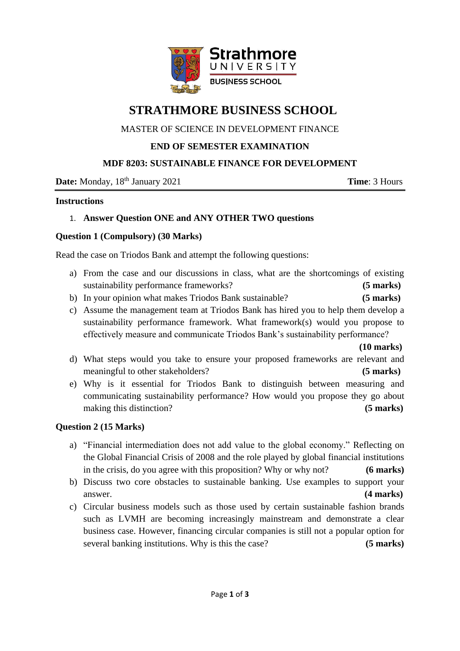

# **STRATHMORE BUSINESS SCHOOL**

## MASTER OF SCIENCE IN DEVELOPMENT FINANCE

## **END OF SEMESTER EXAMINATION**

#### **MDF 8203: SUSTAINABLE FINANCE FOR DEVELOPMENT**

**Date:** Monday,  $18<sup>th</sup>$  January 2021 **Time**: 3 Hours

#### **Instructions**

#### 1. **Answer Question ONE and ANY OTHER TWO questions**

#### **Question 1 (Compulsory) (30 Marks)**

Read the case on Triodos Bank and attempt the following questions:

- a) From the case and our discussions in class, what are the shortcomings of existing sustainability performance frameworks? **(5 marks)**
- b) In your opinion what makes Triodos Bank sustainable? **(5 marks)**
- c) Assume the management team at Triodos Bank has hired you to help them develop a sustainability performance framework. What framework(s) would you propose to effectively measure and communicate Triodos Bank's sustainability performance?

**(10 marks)**

- d) What steps would you take to ensure your proposed frameworks are relevant and meaningful to other stakeholders? **(5 marks)**
- e) Why is it essential for Triodos Bank to distinguish between measuring and communicating sustainability performance? How would you propose they go about making this distinction? **(5 marks)**

#### **Question 2 (15 Marks)**

- a) "Financial intermediation does not add value to the global economy." Reflecting on the Global Financial Crisis of 2008 and the role played by global financial institutions in the crisis, do you agree with this proposition? Why or why not? **(6 marks)**
- b) Discuss two core obstacles to sustainable banking. Use examples to support your answer. **(4 marks)**
- c) Circular business models such as those used by certain sustainable fashion brands such as LVMH are becoming increasingly mainstream and demonstrate a clear business case. However, financing circular companies is still not a popular option for several banking institutions. Why is this the case? **(5 marks)**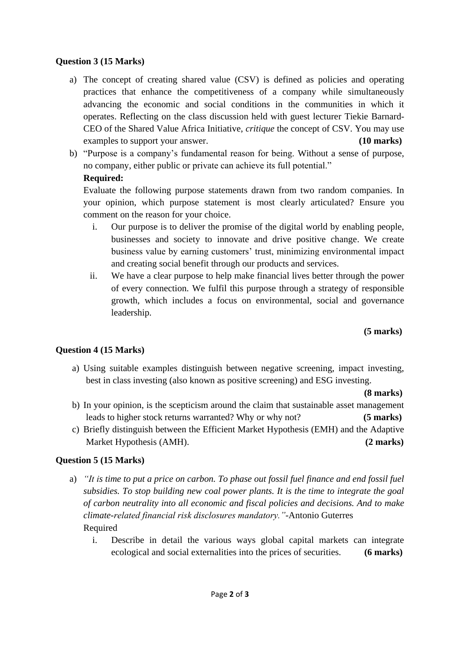## **Question 3 (15 Marks)**

- a) The concept of creating shared value (CSV) is defined as policies and operating practices that enhance the competitiveness of a company while simultaneously advancing the economic and social conditions in the communities in which it operates. Reflecting on the class discussion held with guest lecturer Tiekie Barnard-CEO of the Shared Value Africa Initiative, *critique* the concept of CSV. You may use examples to support your answer. **(10 marks)**
- b) "Purpose is a company's fundamental reason for being. Without a sense of purpose, no company, either public or private can achieve its full potential."

## **Required:**

Evaluate the following purpose statements drawn from two random companies. In your opinion, which purpose statement is most clearly articulated? Ensure you comment on the reason for your choice.

- i. Our purpose is to deliver the promise of the digital world by enabling people, businesses and society to innovate and drive positive change. We create business value by earning customers' trust, minimizing environmental impact and creating social benefit through our products and services.
- ii. We have a clear purpose to help make financial lives better through the power of every connection. We fulfil this purpose through a strategy of responsible growth, which includes a focus on environmental, social and governance leadership.

 **(5 marks)**

# **Question 4 (15 Marks)**

a) Using suitable examples distinguish between negative screening, impact investing, best in class investing (also known as positive screening) and ESG investing.

**(8 marks)**

- b) In your opinion, is the scepticism around the claim that sustainable asset management leads to higher stock returns warranted? Why or why not? **(5 marks)**
- c) Briefly distinguish between the Efficient Market Hypothesis (EMH) and the Adaptive Market Hypothesis (AMH). **(2 marks)**

# **Question 5 (15 Marks)**

- a) *"It is time to put a price on carbon. To phase out fossil fuel finance and end fossil fuel subsidies. To stop building new coal power plants. It is the time to integrate the goal of carbon neutrality into all economic and fiscal policies and decisions. And to make climate-related financial risk disclosures mandatory."-*Antonio Guterres Required
	- i. Describe in detail the various ways global capital markets can integrate ecological and social externalities into the prices of securities. **(6 marks)**